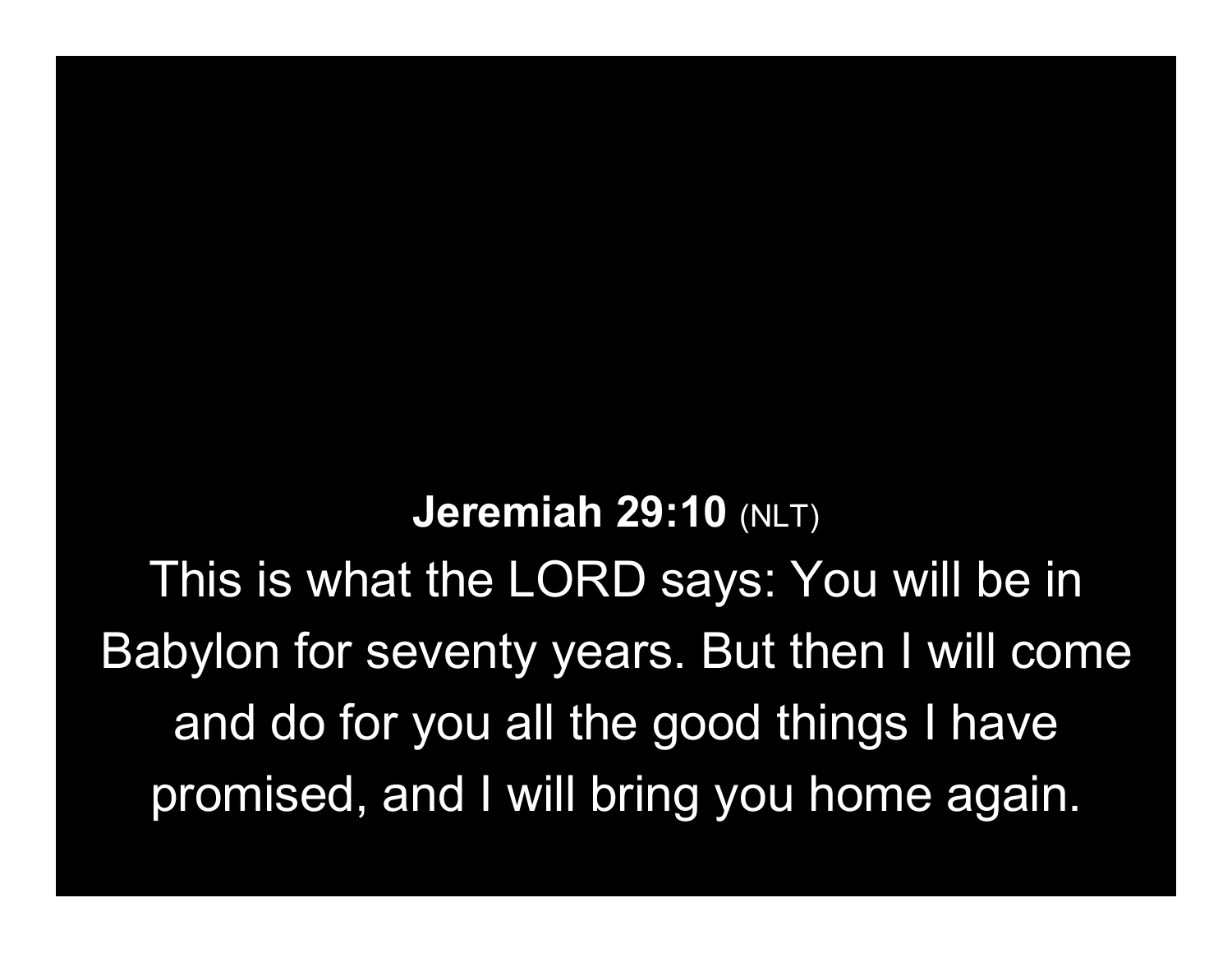Jeremiah 29:10 (NLT) This is what the LORD says: You will be in Babylon for seventy years. But then I will come and do for you all the good things I have promised, and I will bring you home again.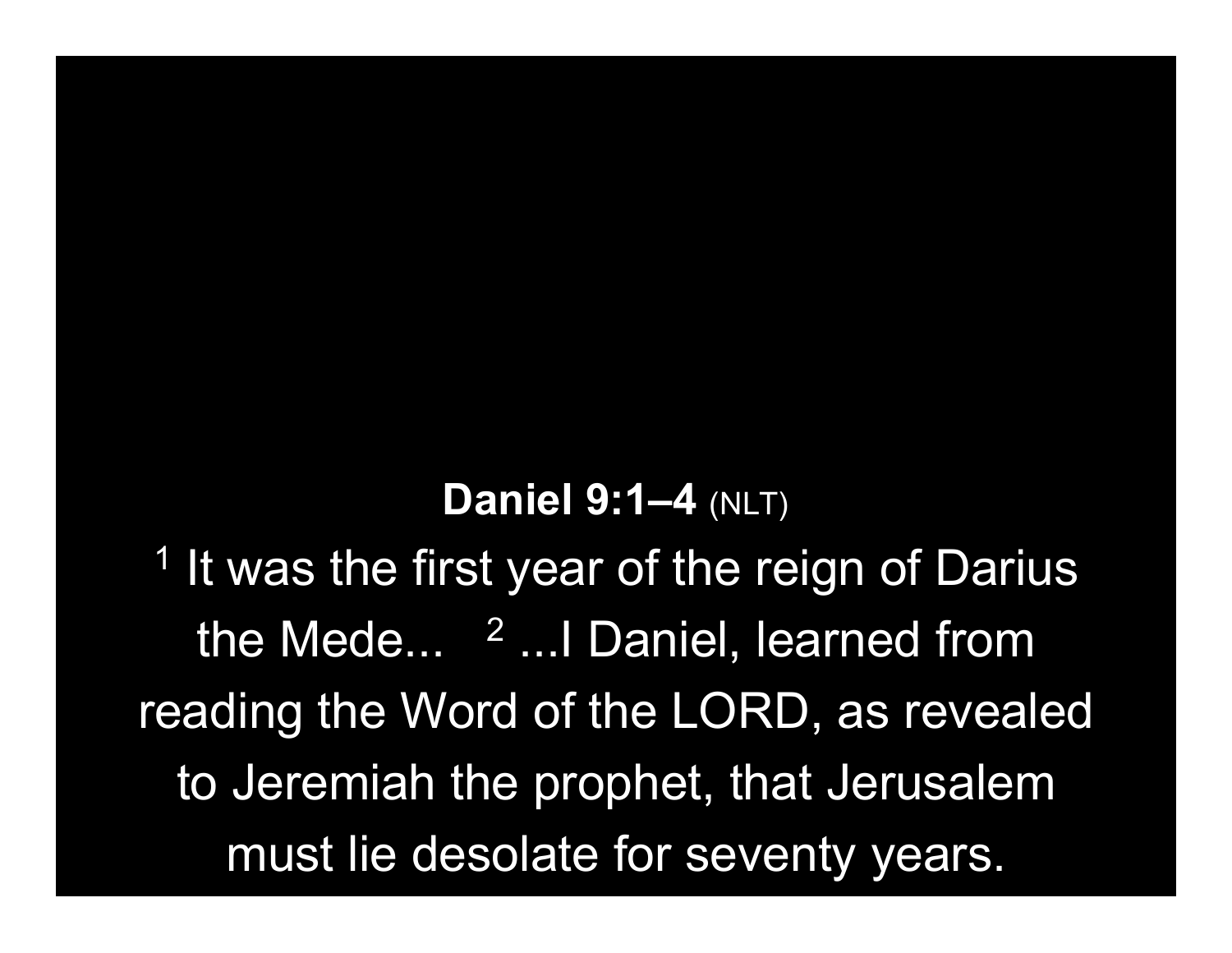#### **Daniel 9:1-4 (NLT)**

<sup>1</sup> It was the first year of the reign of Darius the Mede... <sup>2</sup> ... I Daniel, learned from reading the Word of the LORD, as revealed to Jeremiah the prophet, that Jerusalem must lie desolate for seventy years.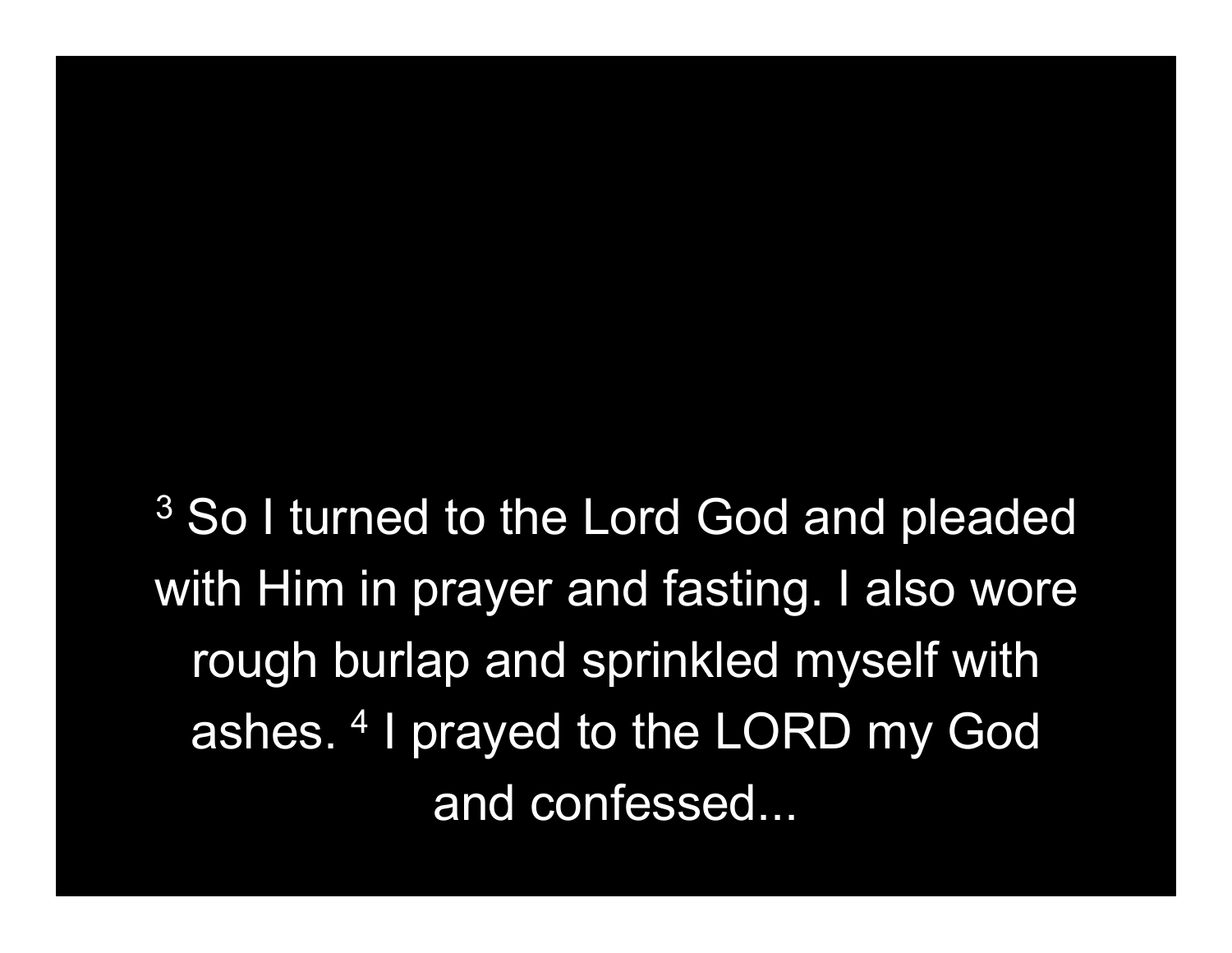<sup>3</sup> So I turned to the Lord God and pleaded with Him in prayer and fasting. I also wore rough burlap and sprinkled myself with ashes. <sup>4</sup> I prayed to the LORD my God and confessed...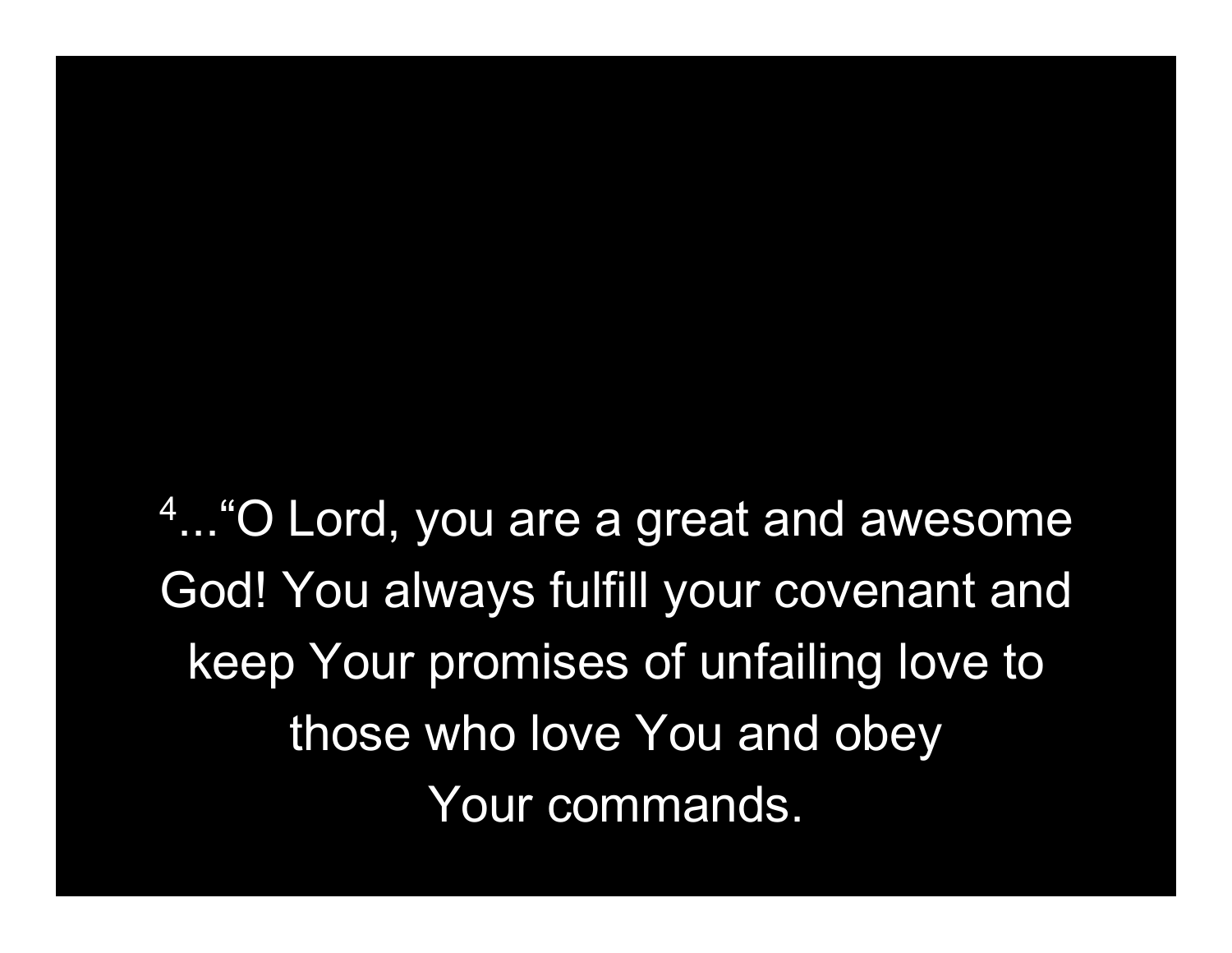4 ..."O Lord, you are a great and awesome God! You always fulfill your covenant and keep Your promises of unfailing love to those who love You and obey Your commands.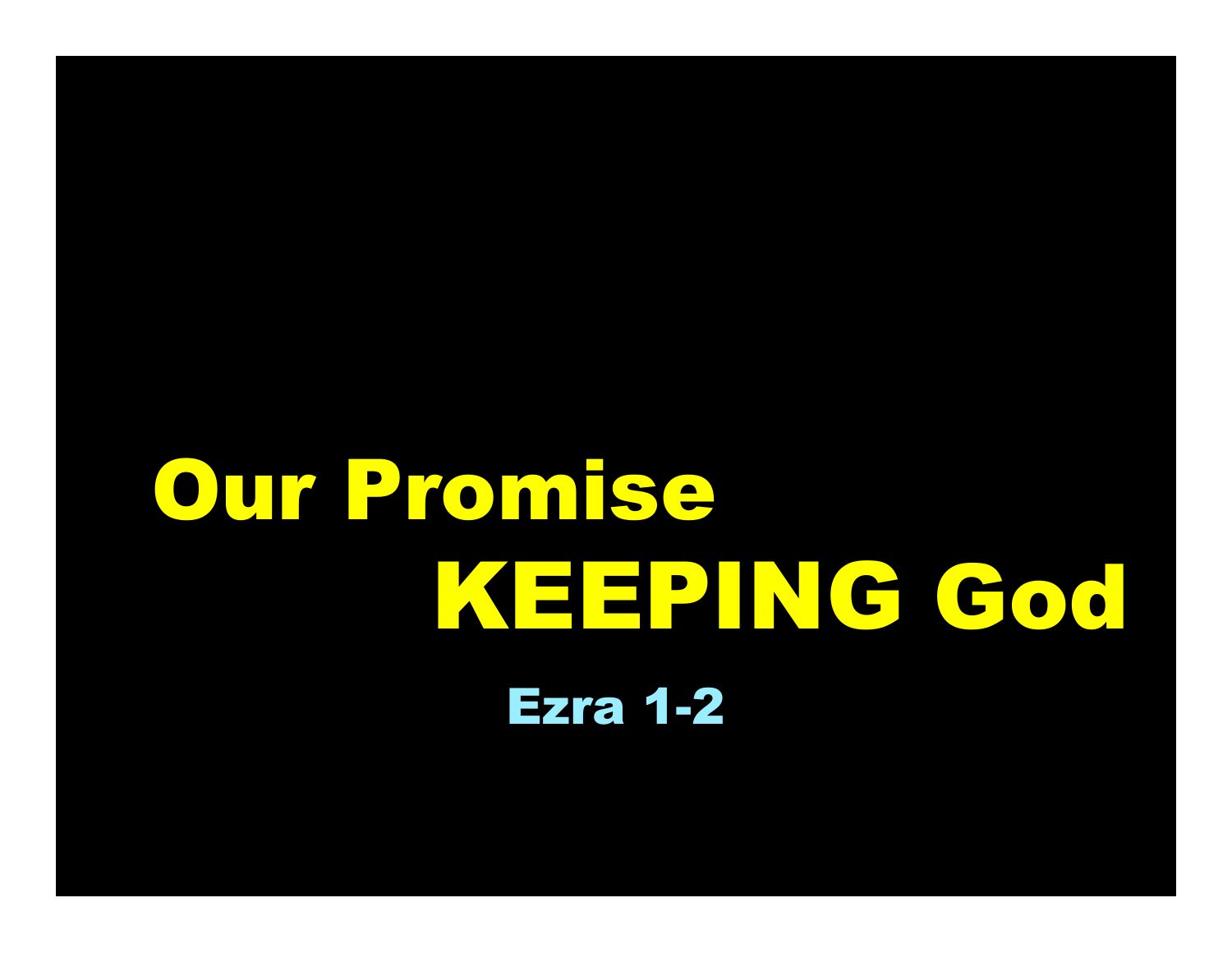# Our Promise KEEPING God Ezra 1-2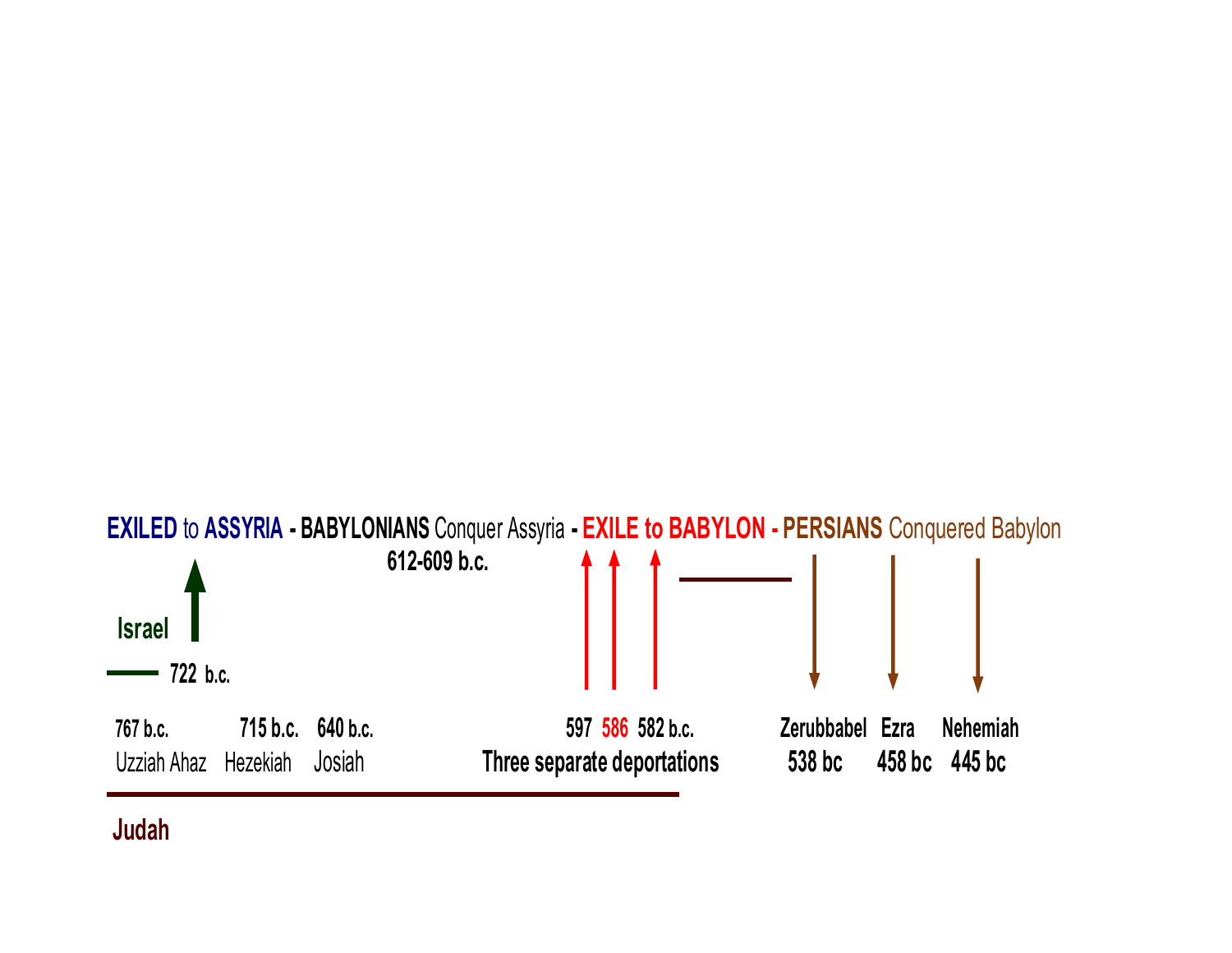

#### Judah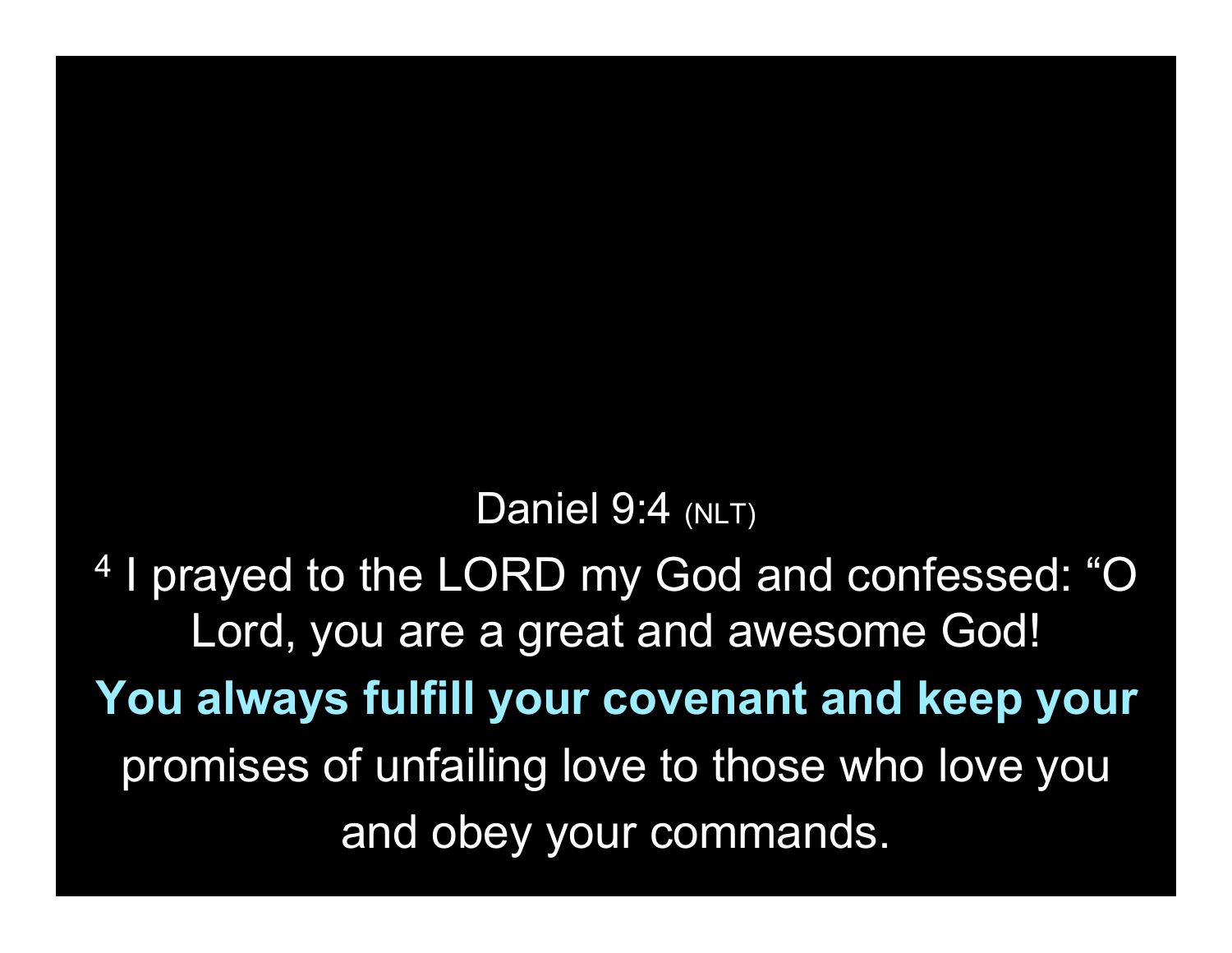Daniel 9:4 (NLT)

4 I prayed to the LORD my God and confessed: "O Lord, you are a great and awesome God! You always fulfill your covenant and keep your promises of unfailing love to those who love you and obey your commands.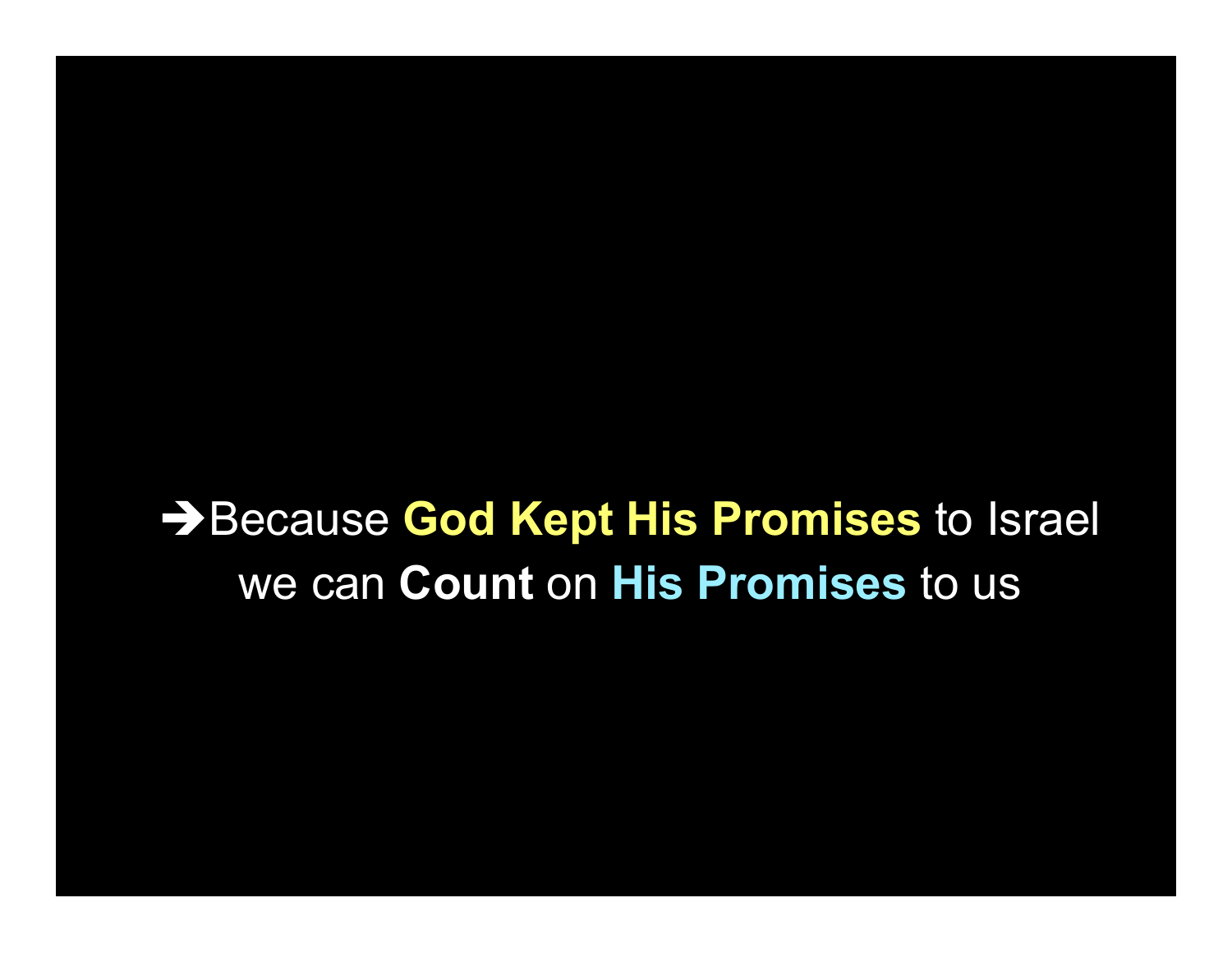## → Because God Kept His Promises to Israel we can Count on His Promises to us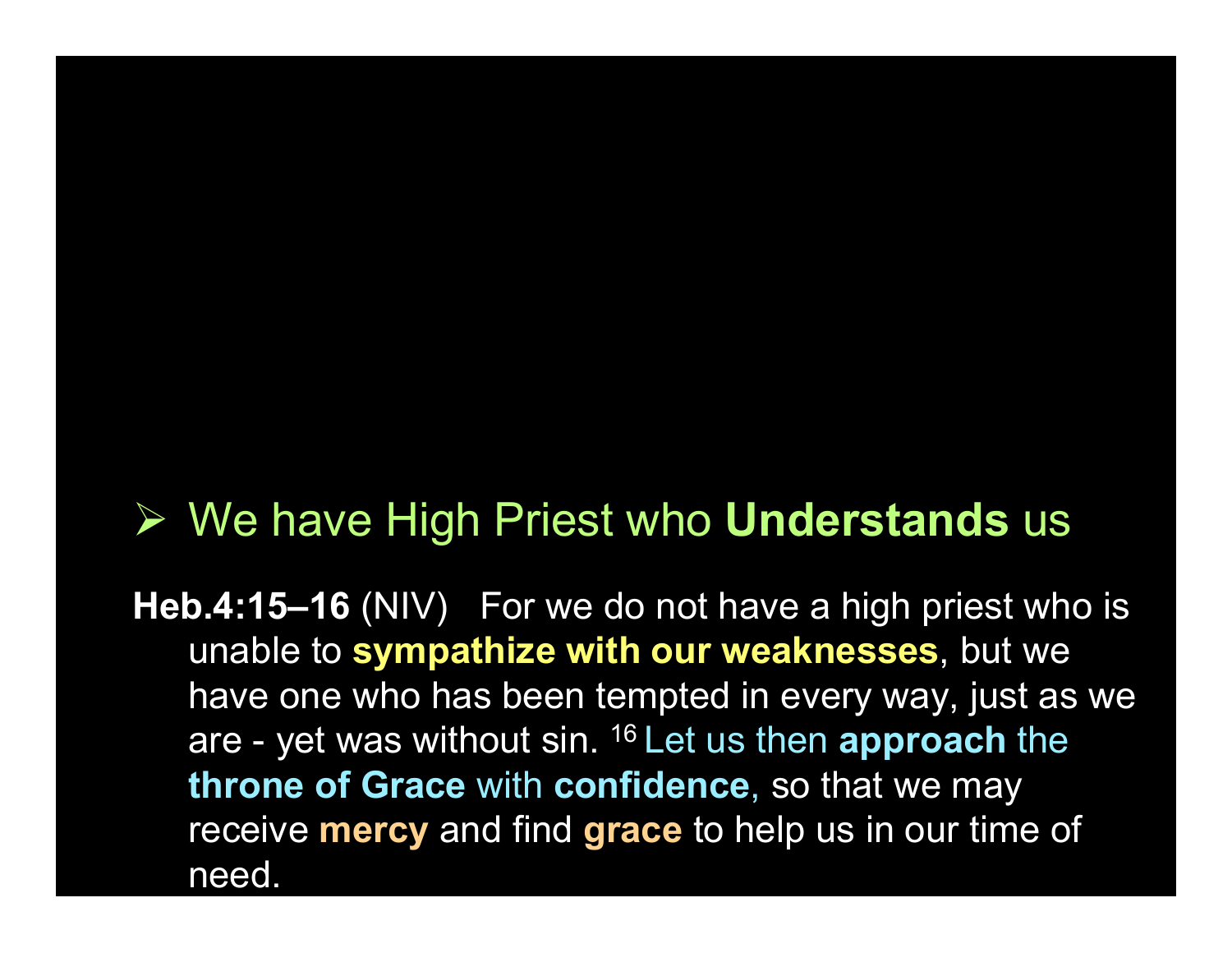#### $\triangleright$  We have High Priest who Understands us

Heb.4:15–16 (NIV) For we do not have a high priest who is unable to sympathize with our weaknesses, but we have one who has been tempted in every way, just as we are - yet was without sin. <sup>16</sup> Let us then approach the throne of Grace with confidence, so that we may receive **mercy** and find **grace** to help us in our time of need.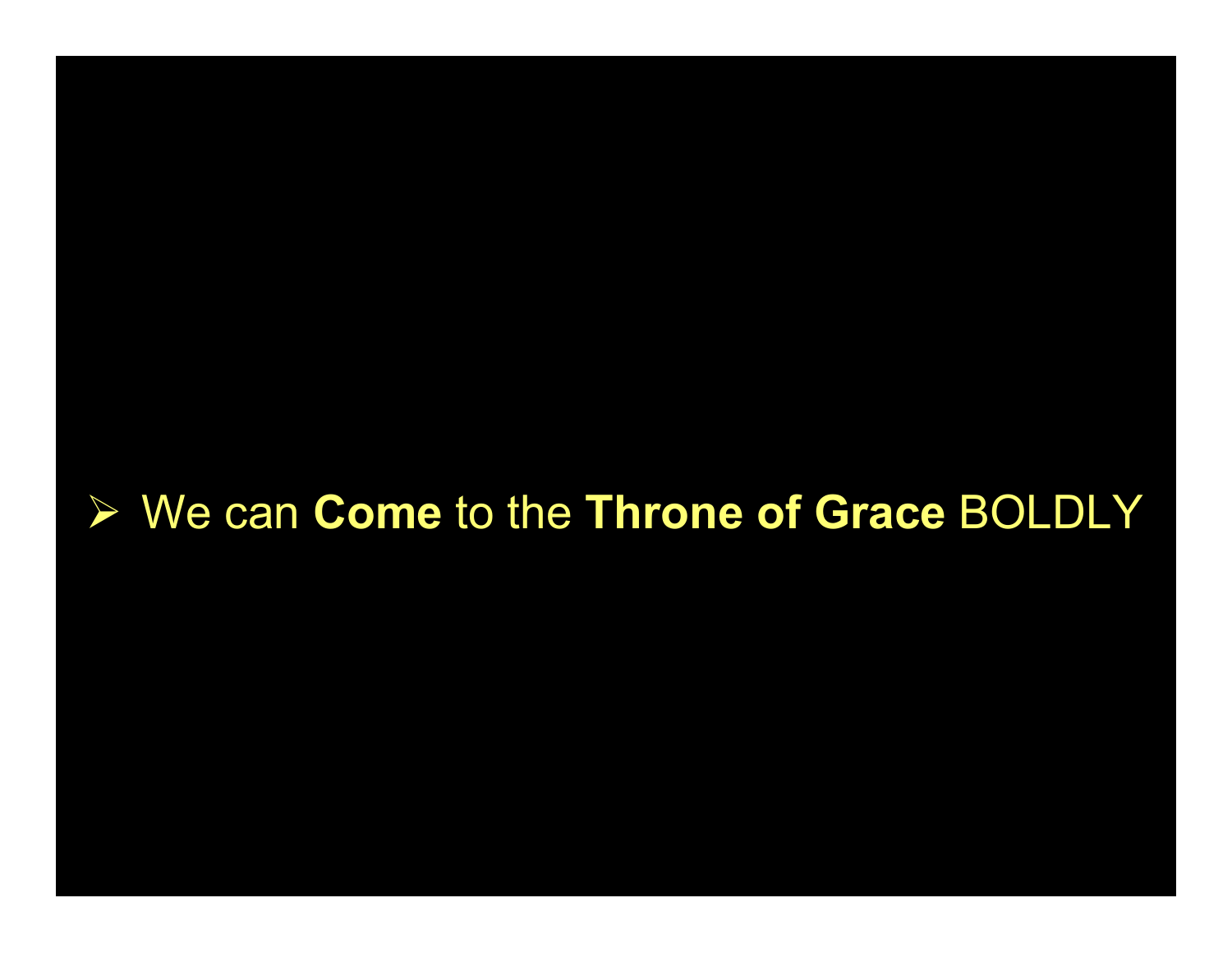#### **► We can Come to the Throne of Grace BOLDLY**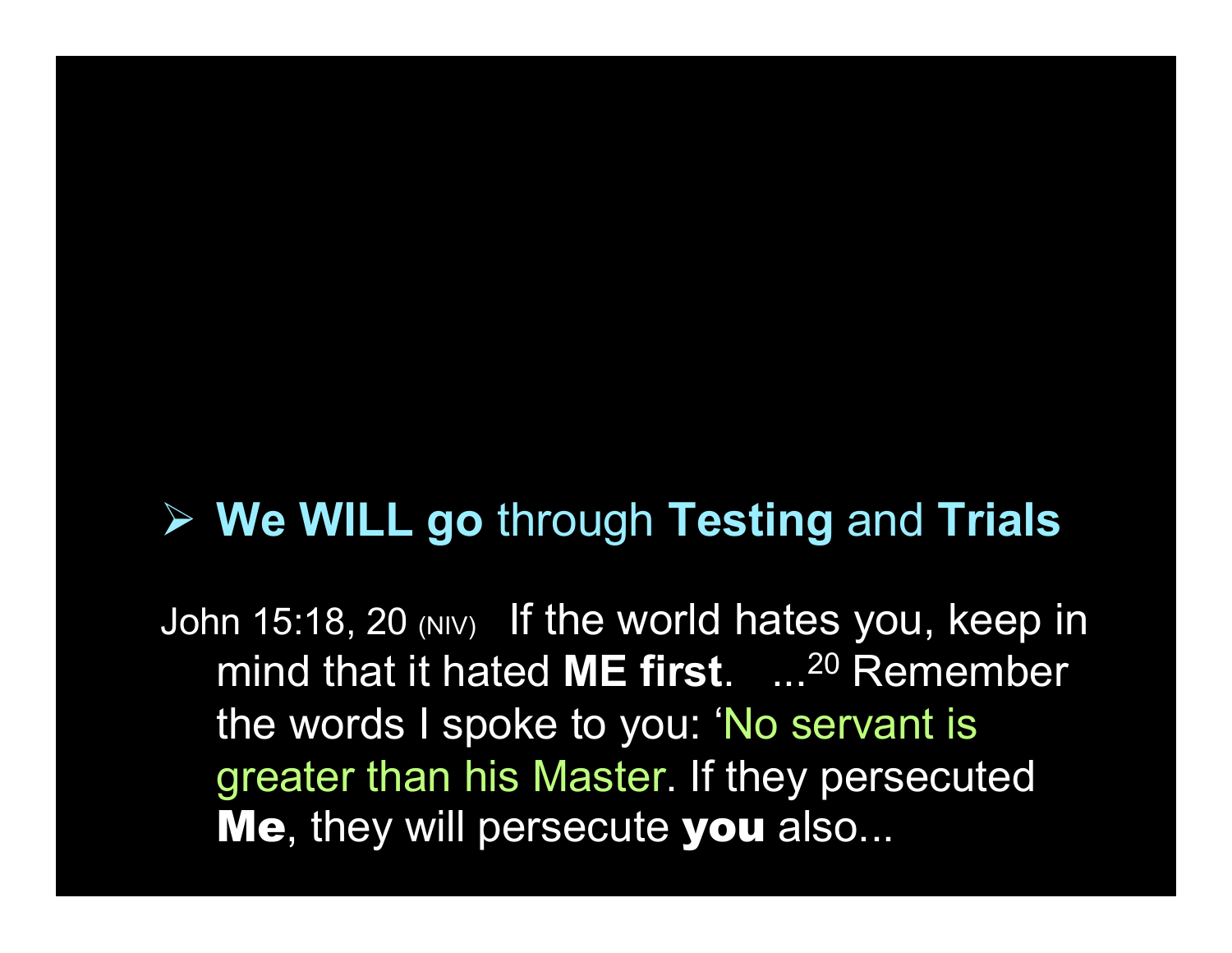#### $\triangleright$  We WILL go through Testing and Trials

John 15:18, 20 (NIV) If the world hates you, keep in mind that it hated ME first. ...<sup>20</sup> Remember the words I spoke to you: 'No servant is greater than his Master. If they persecuted Me, they will persecute you also...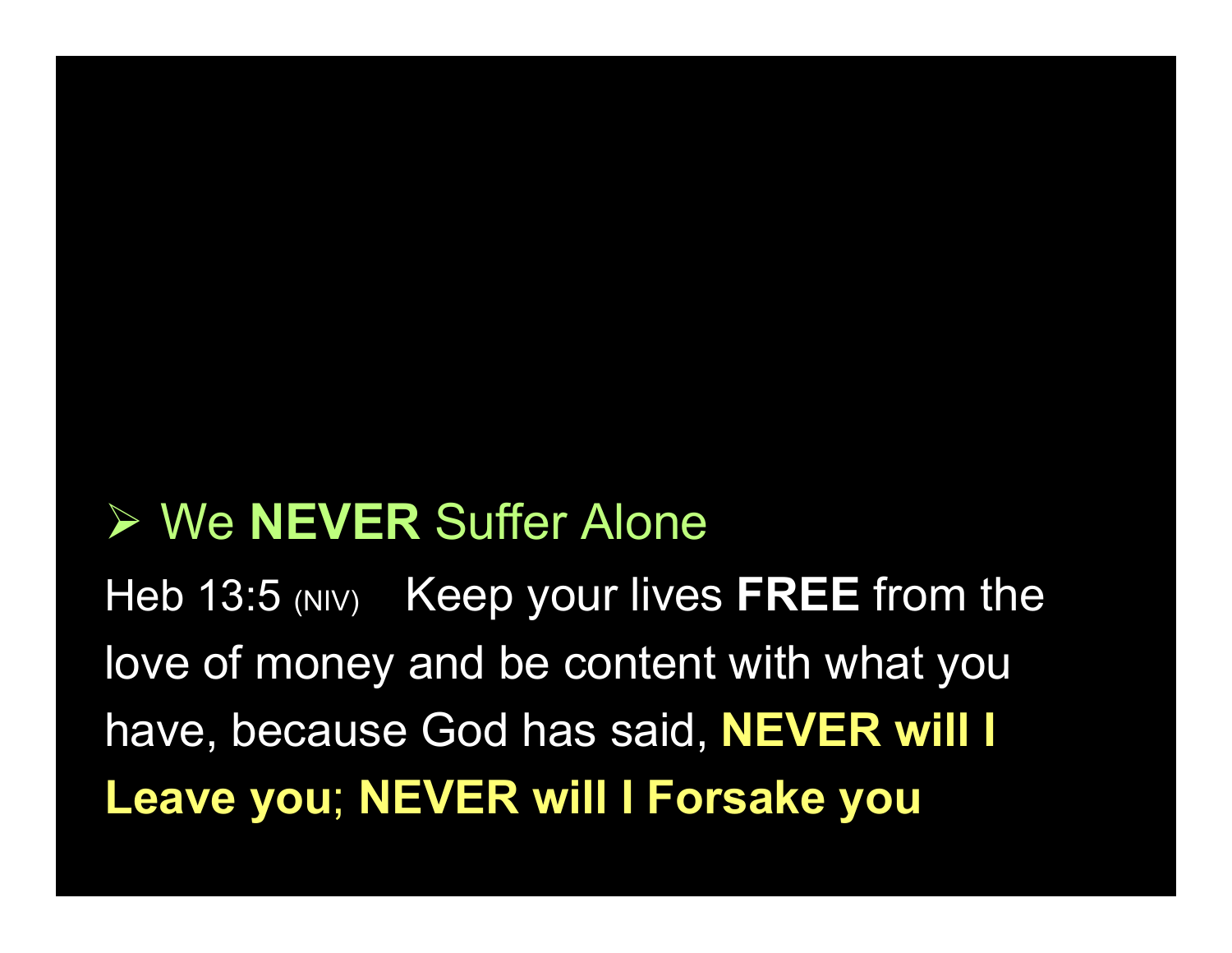### **► We NEVER Suffer Alone**

Heb 13:5 (NIV) Keep your lives FREE from the love of money and be content with what you have, because God has said, NEVER will I Leave you; NEVER will I Forsake you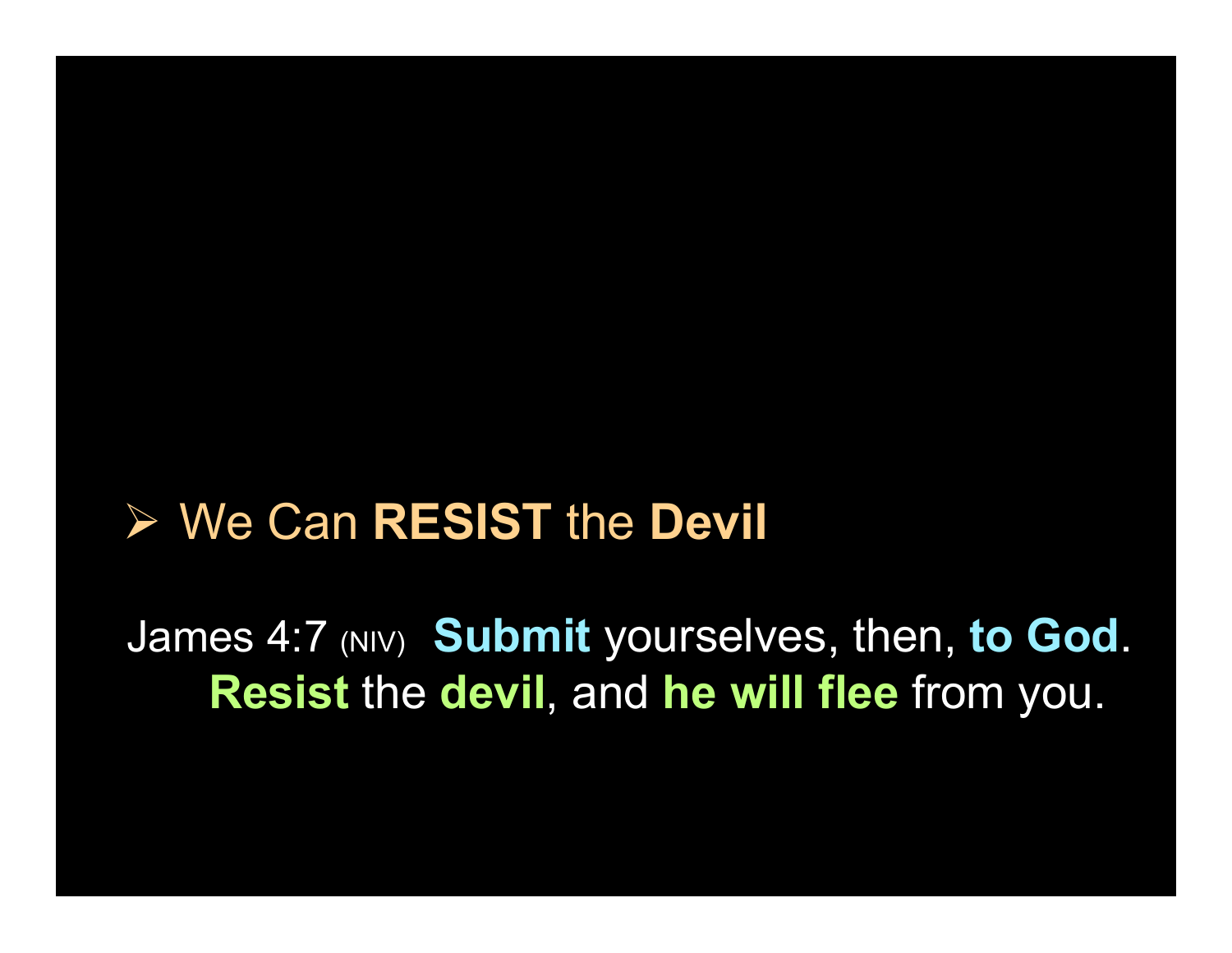#### **► We Can RESIST the Devil**

James 4:7 (NIV) Submit yourselves, then, to God. Resist the devil, and he will flee from you.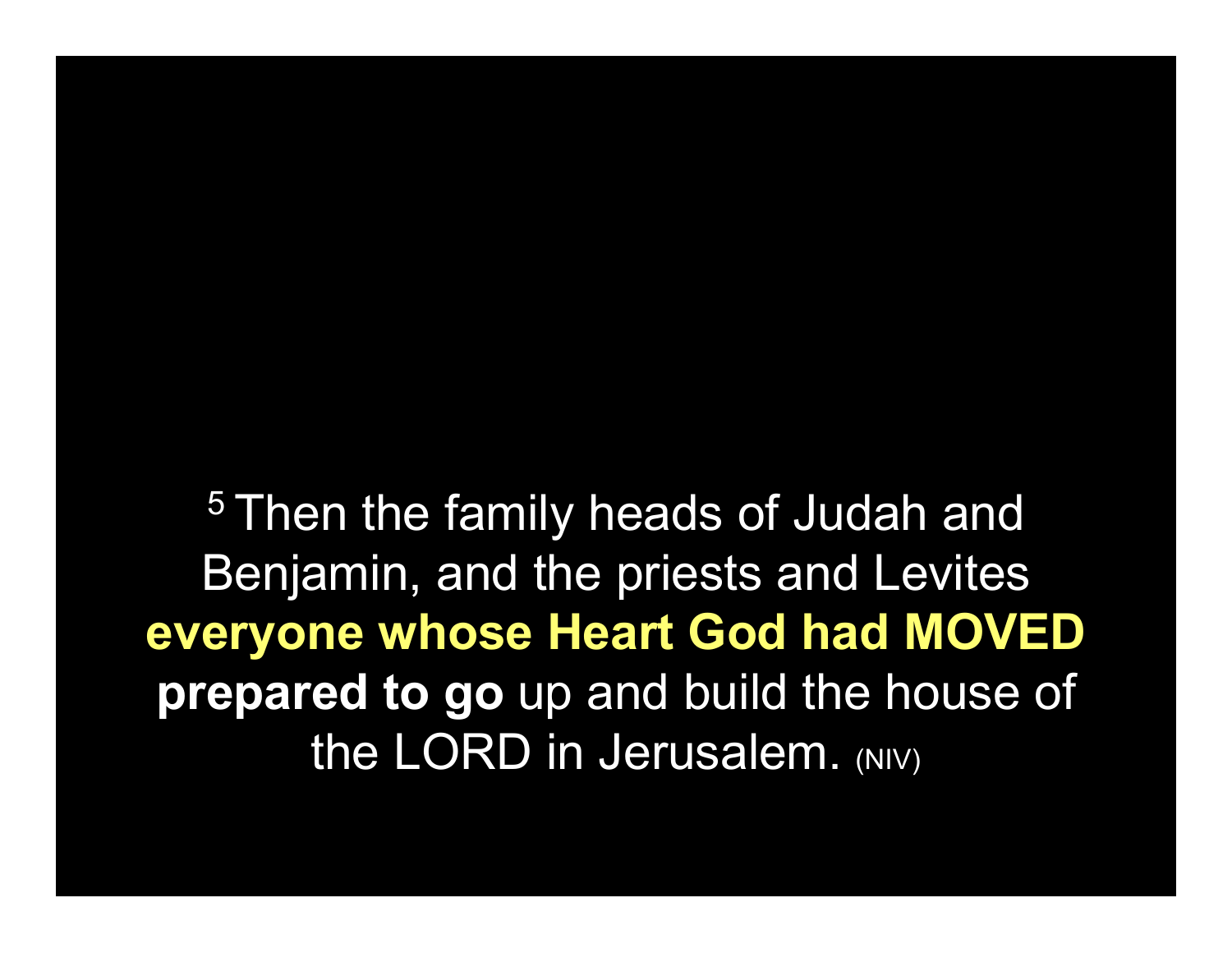<sup>5</sup> Then the family heads of Judah and Benjamin, and the priests and Levites everyone whose Heart God had MOVED prepared to go up and build the house of the LORD in Jerusalem. (NIV)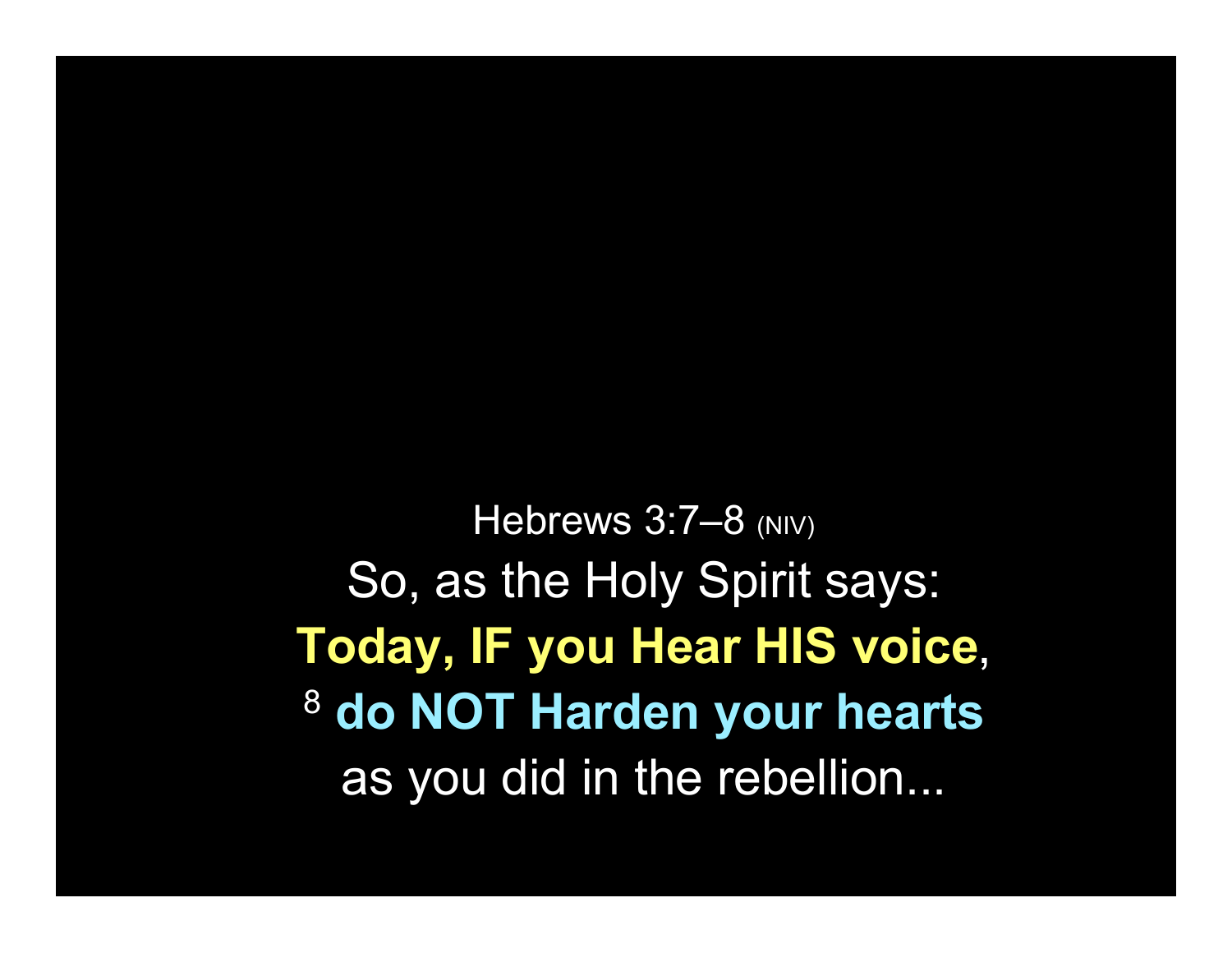Hebrews 3:7-8 (NIV) So, as the Holy Spirit says: Today, IF you Hear HIS voice, <sup>8</sup> do NOT Harden your hearts as you did in the rebellion...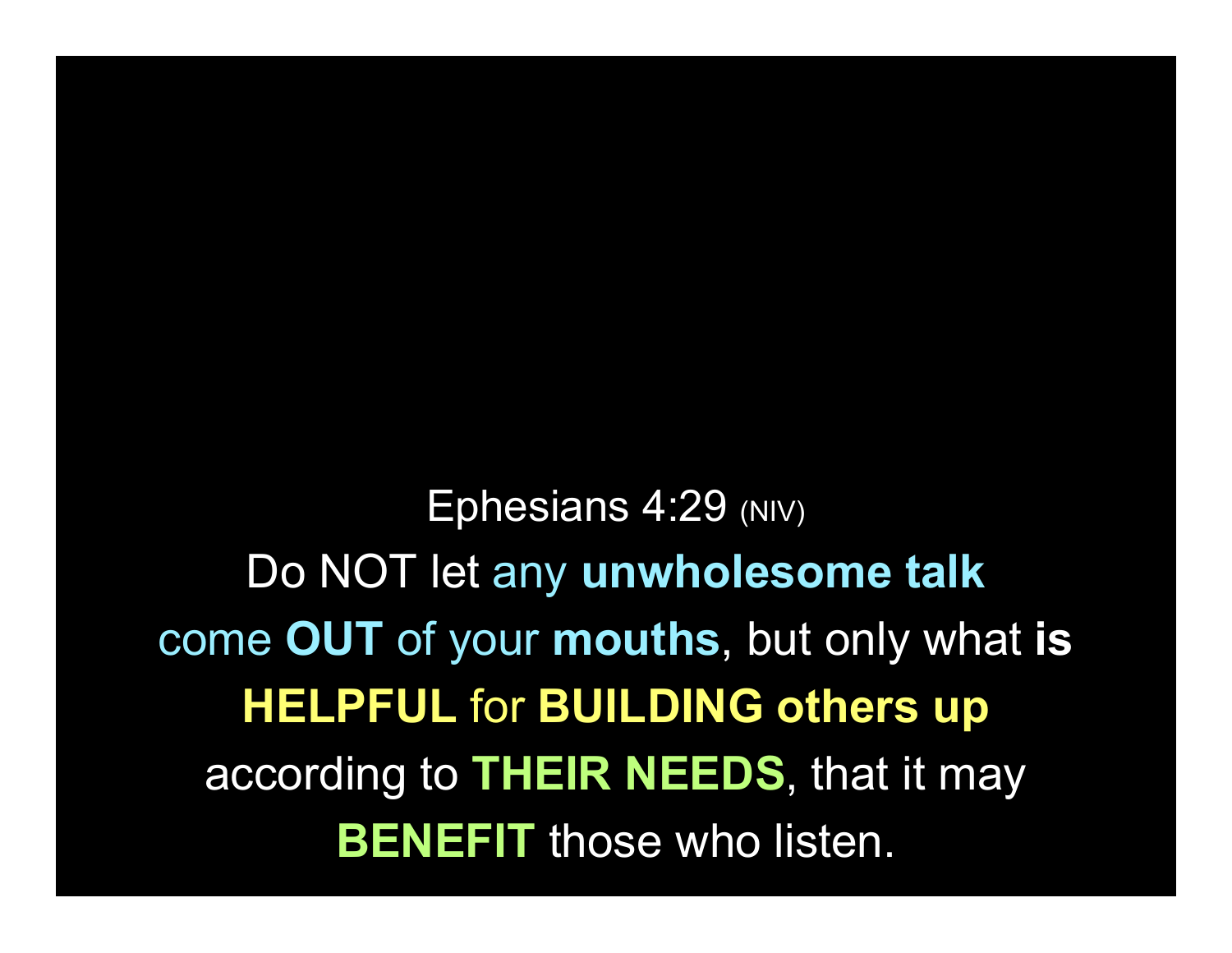Ephesians 4:29 (NIV) Do NOT let any unwholesome talk come OUT of your mouths, but only what is HELPFUL for BUILDING others up according to **THEIR NEEDS**, that it may **BENEFIT** those who listen.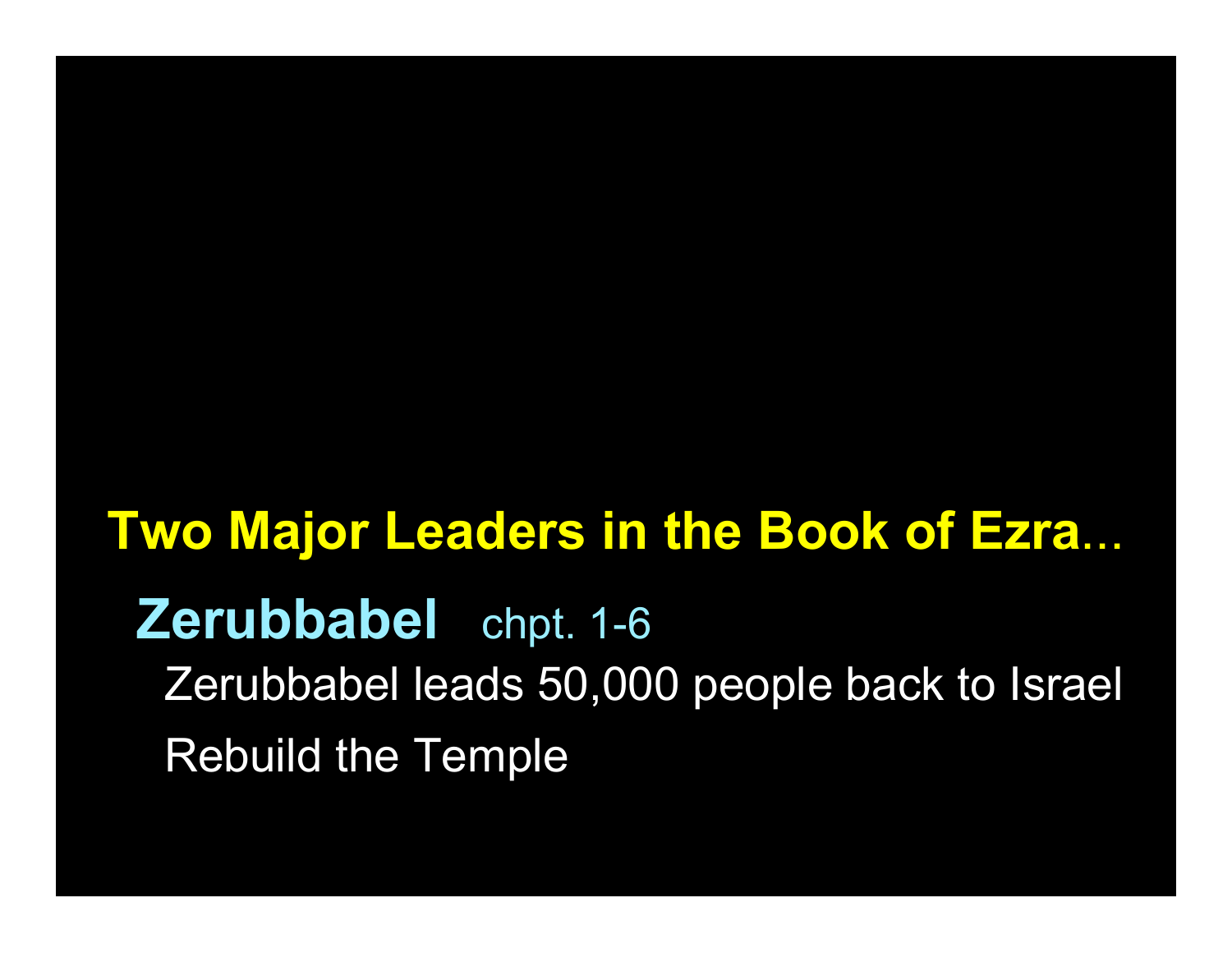# Two Major Leaders in the Book of Ezra... Zerubbabel chpt. 1-6 Zerubbabel leads 50,000 people back to Israel Rebuild the Temple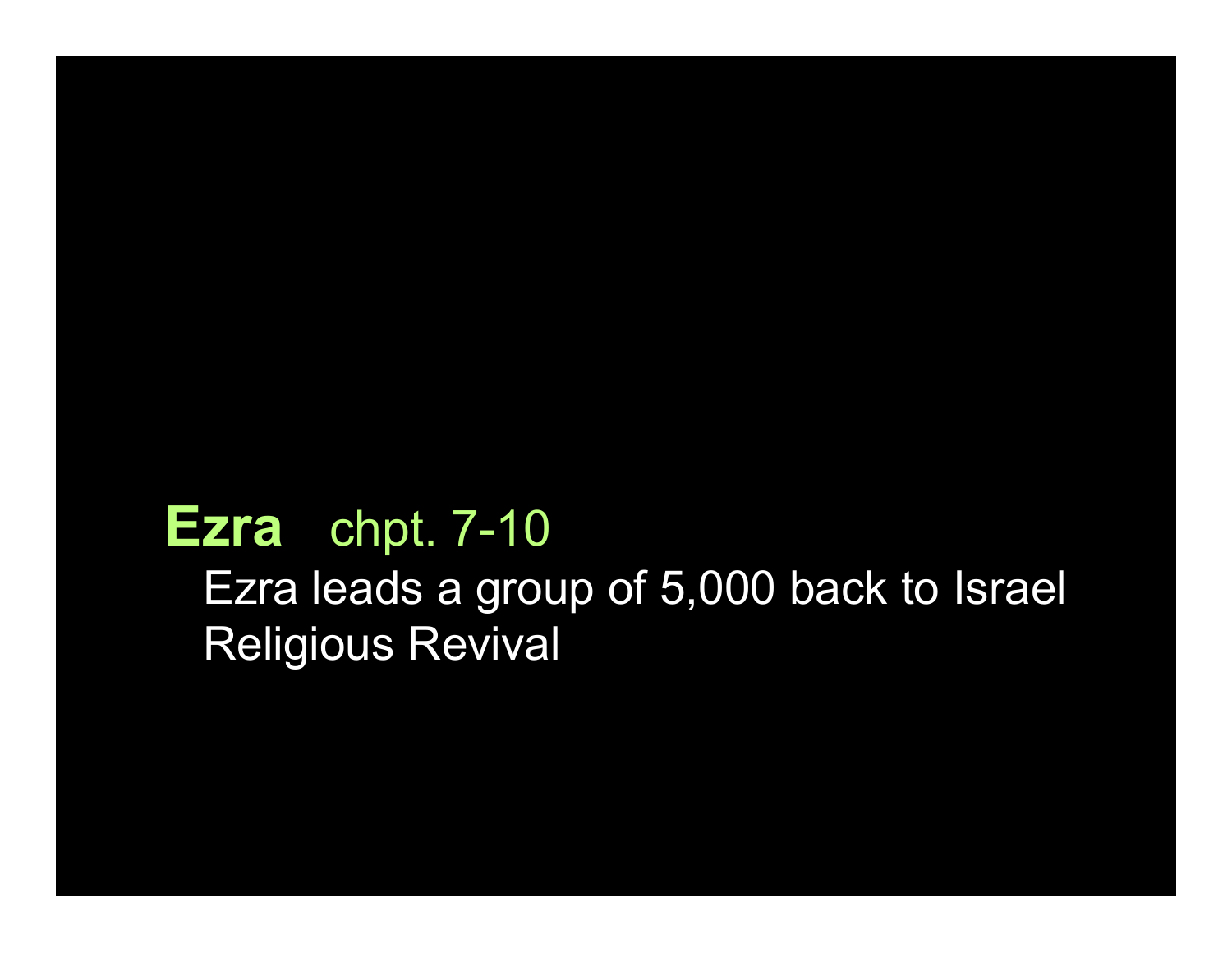#### Ezra chpt. 7-10

Ezra leads a group of 5,000 back to Israel Religious Revival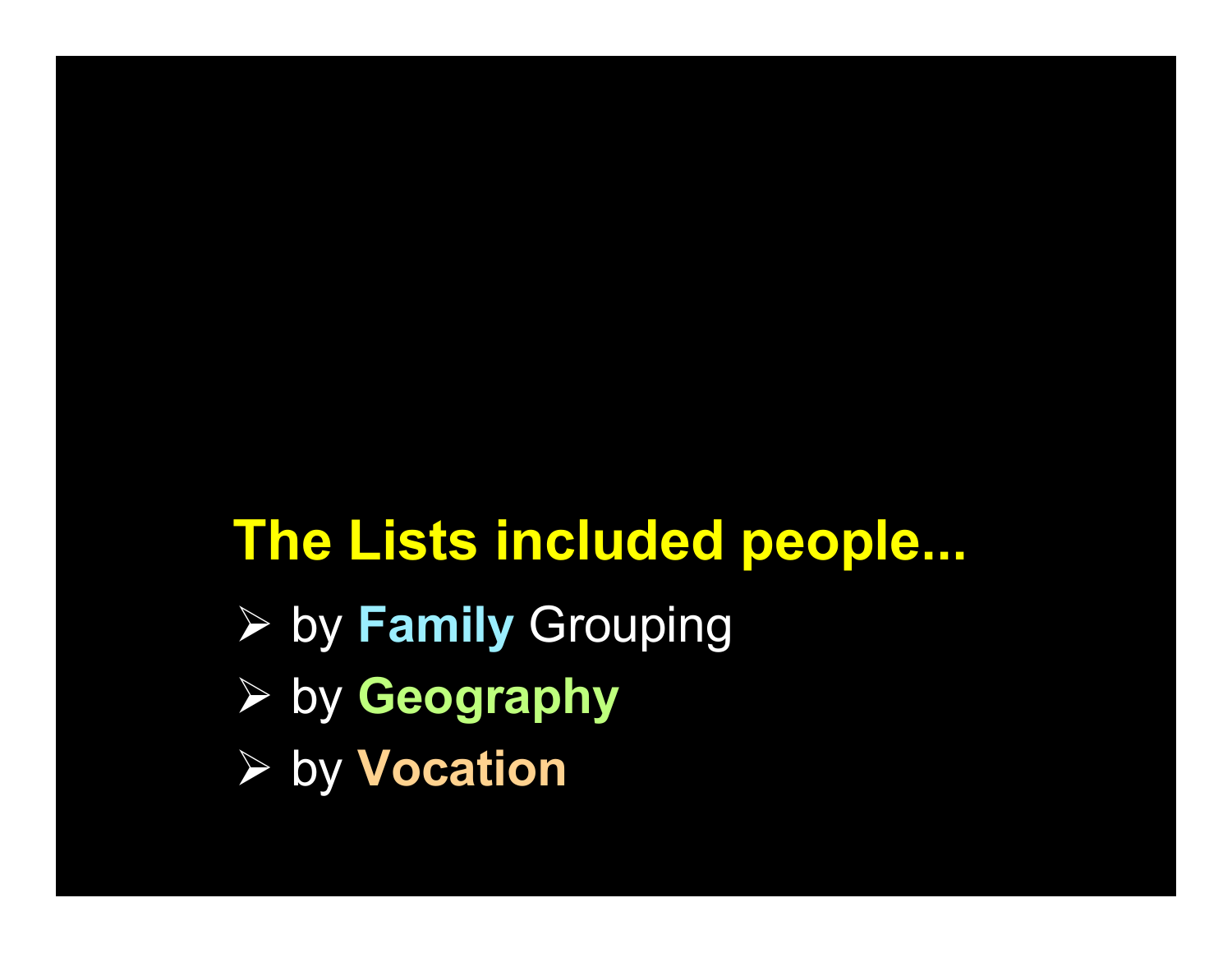## The Lists included people...

- $\triangleright$  by Family Grouping
- $\triangleright$  by Geography
- **▶ by Vocation**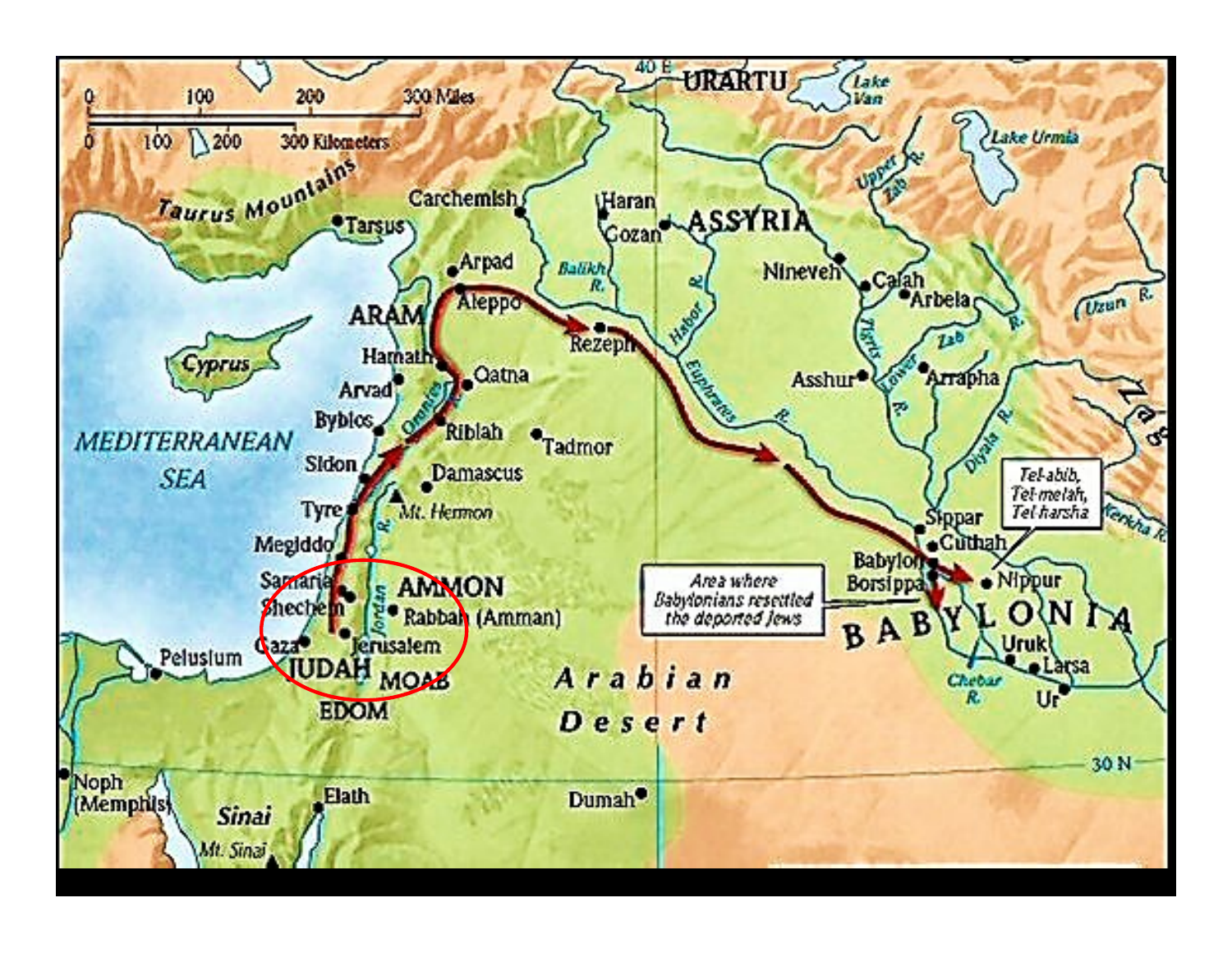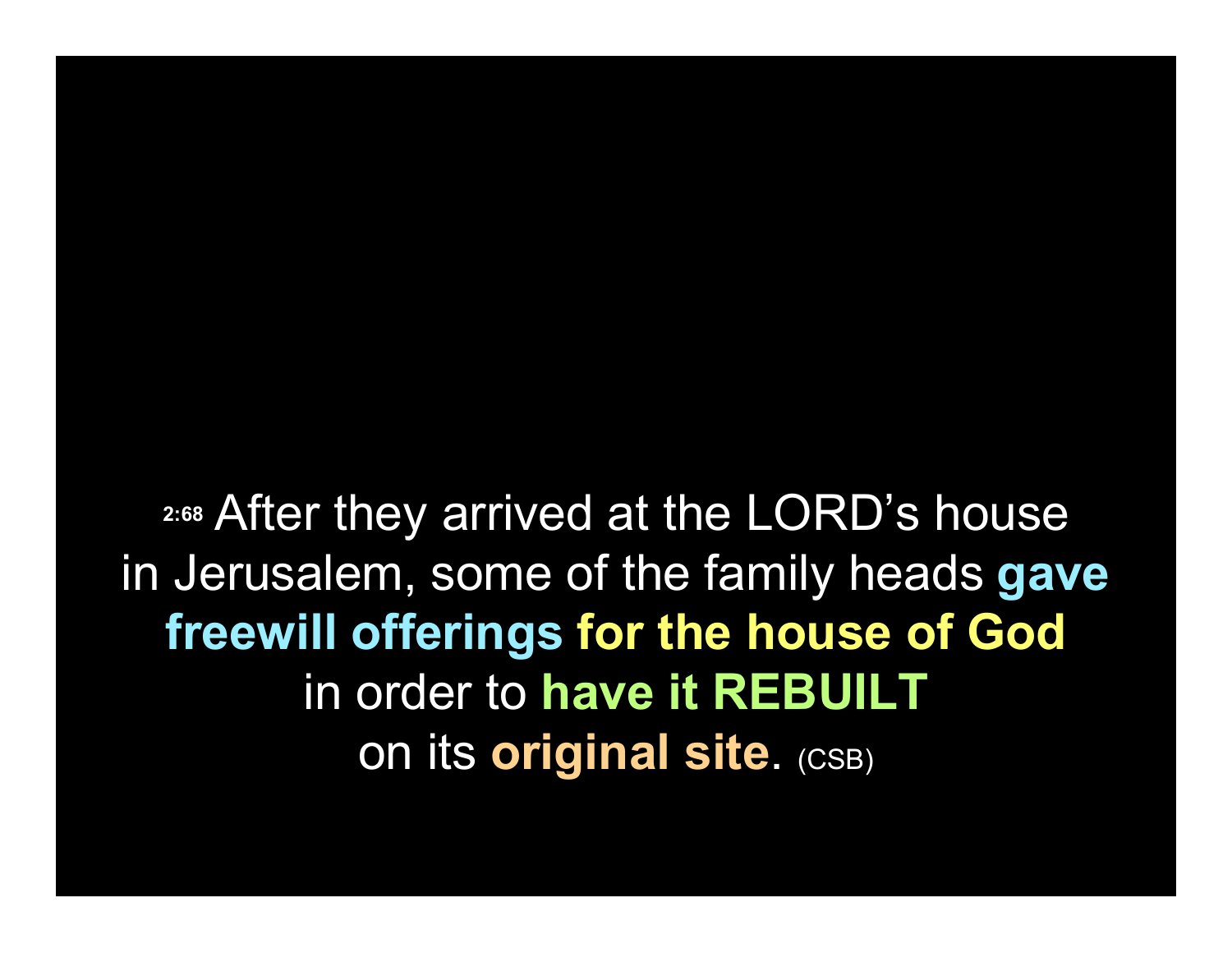2:68 After they arrived at the LORD's house in Jerusalem, some of the family heads gave freewill offerings for the house of God in order to have it REBUILT on its original site. (CSB)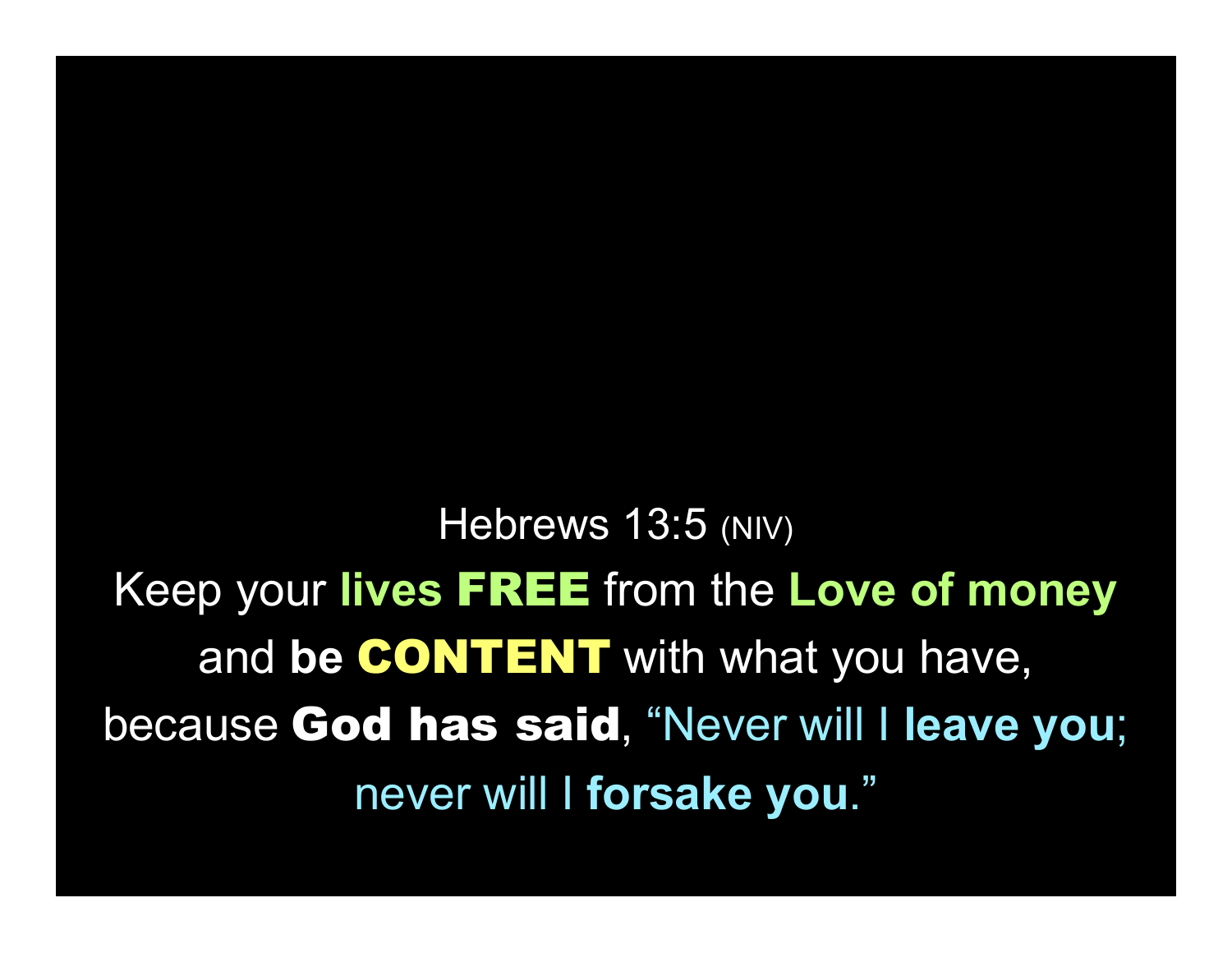Hebrews 13:5 (NIV) Keep your lives FREE from the Love of money and be **CONTENT** with what you have, because God has said, "Never will I leave you; never will I forsake you."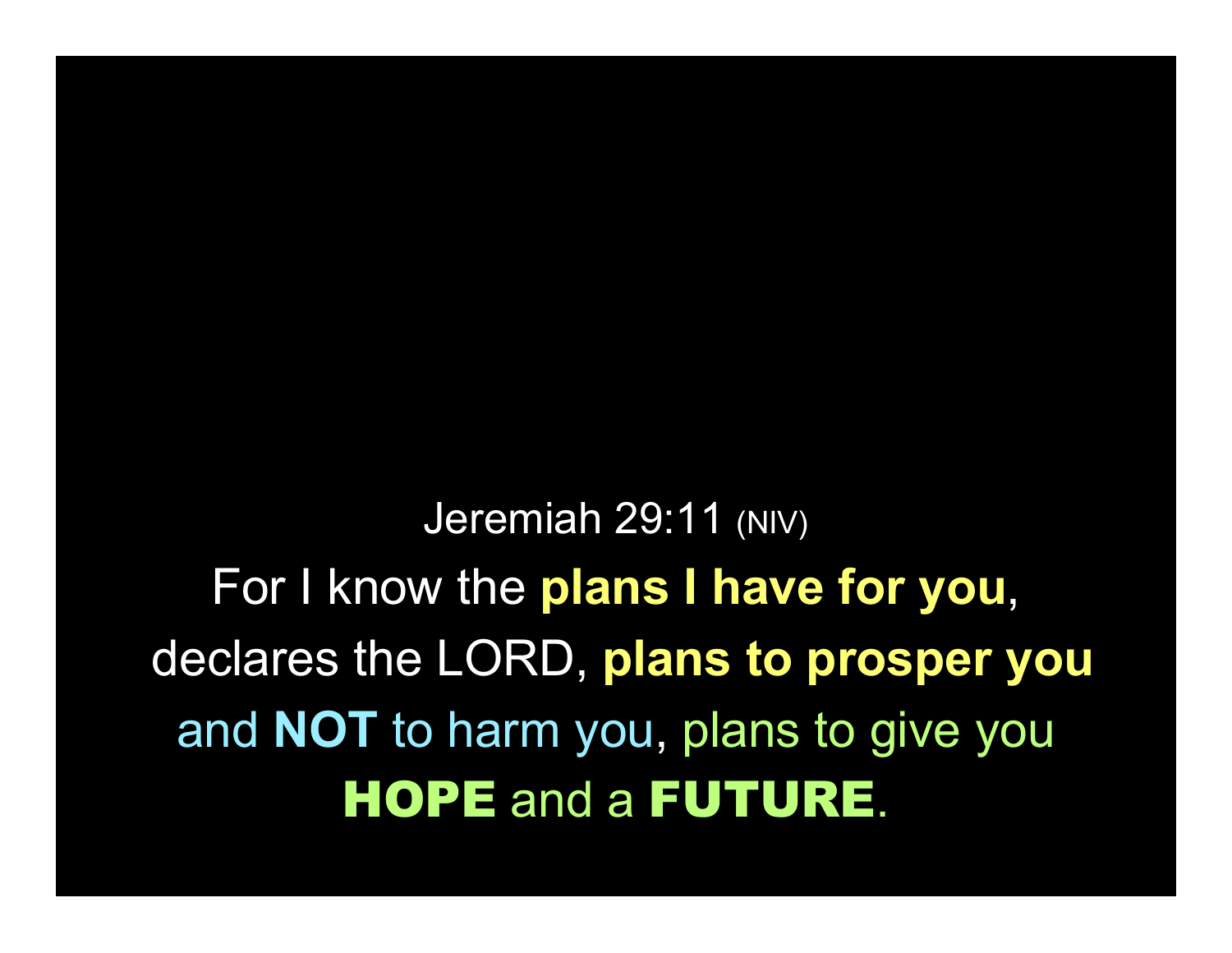Jeremiah 29:11 (NIV) For I know the plans I have for you, declares the LORD, plans to prosper you and NOT to harm you, plans to give you HOPE and a FUTURE.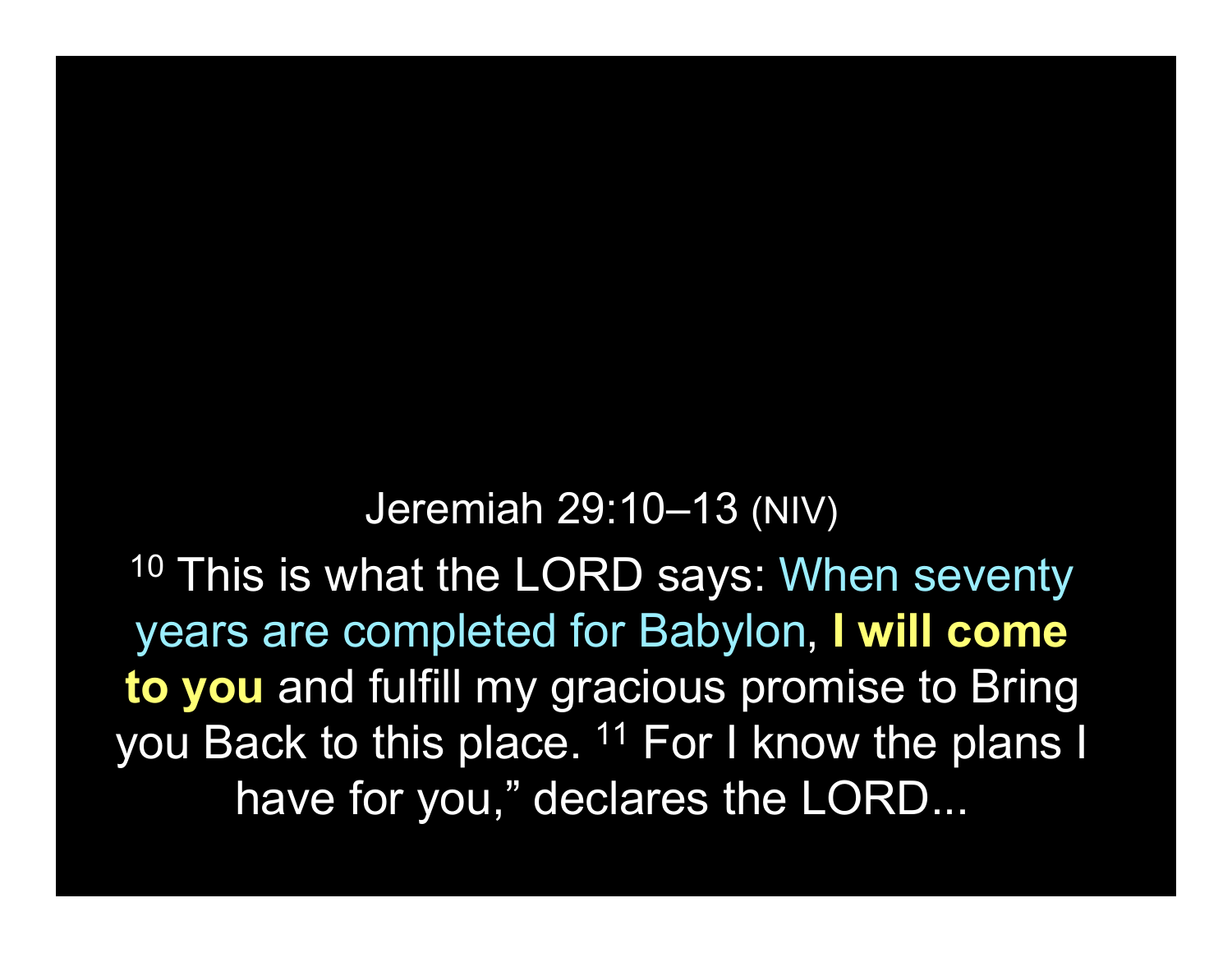#### Jeremiah 29:10–13 (NIV)

<sup>10</sup> This is what the LORD says: When seventy years are completed for Babylon, I will come to you and fulfill my gracious promise to Bring you Back to this place. <sup>11</sup> For I know the plans I have for you," declares the LORD...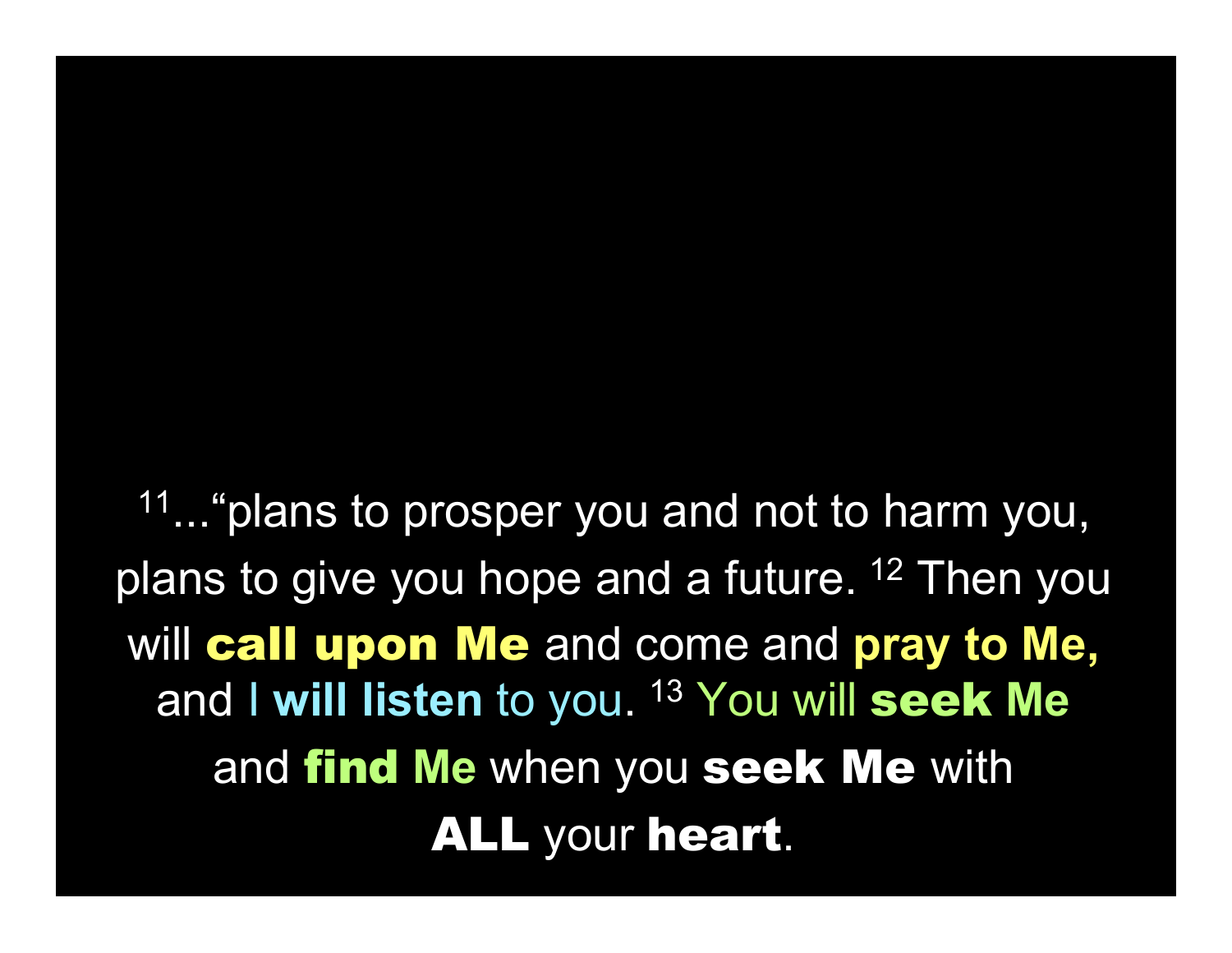<sup>11</sup>... "plans to prosper you and not to harm you, plans to give you hope and a future. <sup>12</sup> Then you will call upon Me and come and pray to Me, and I will listen to you. <sup>13</sup> You will seek Me and find Me when you seek Me with ALL your heart.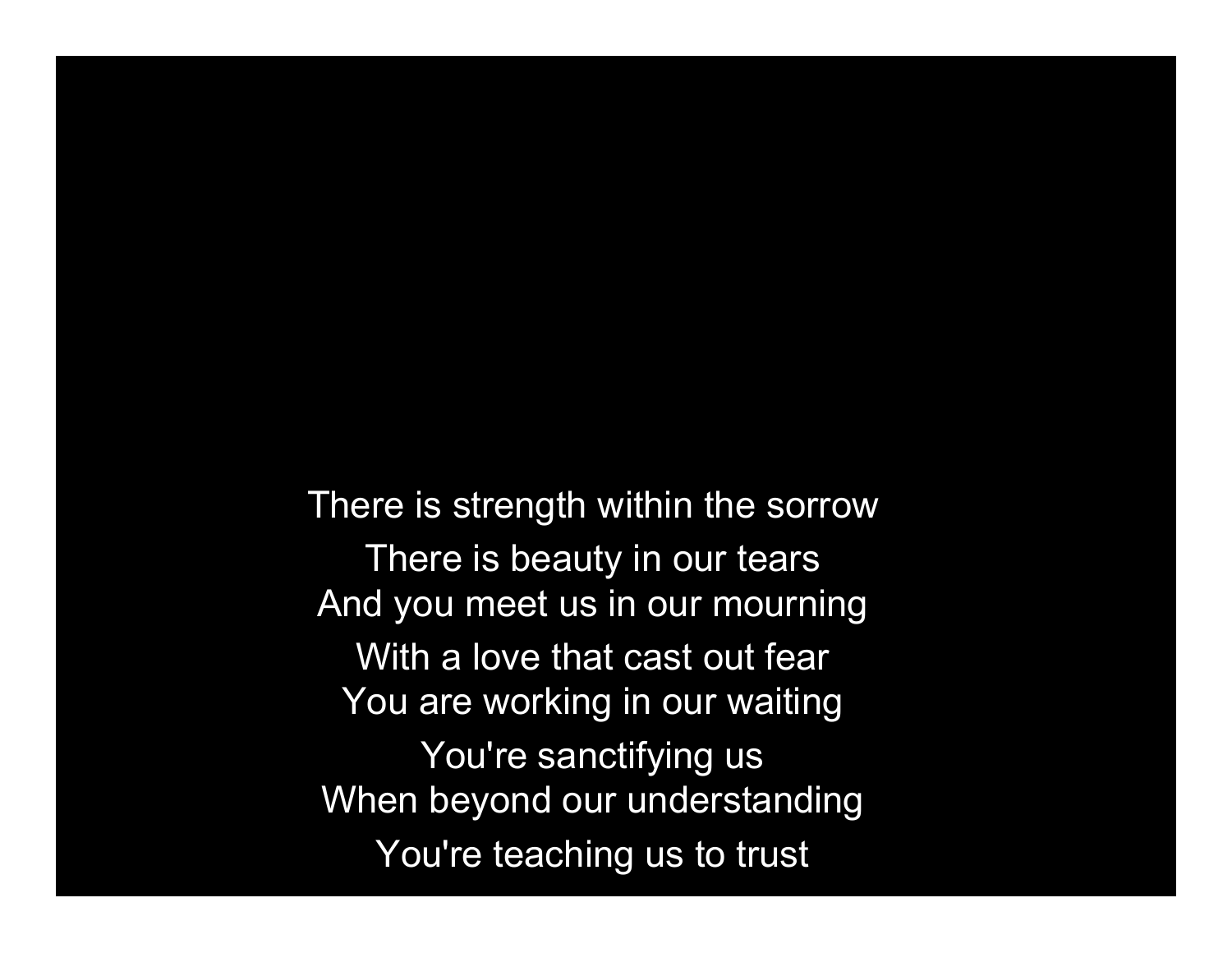There is strength within the sorrow There is beauty in our tears And you meet us in our mourning With a love that cast out fear You are working in our waiting You're sanctifying us When beyond our understanding You're teaching us to trust